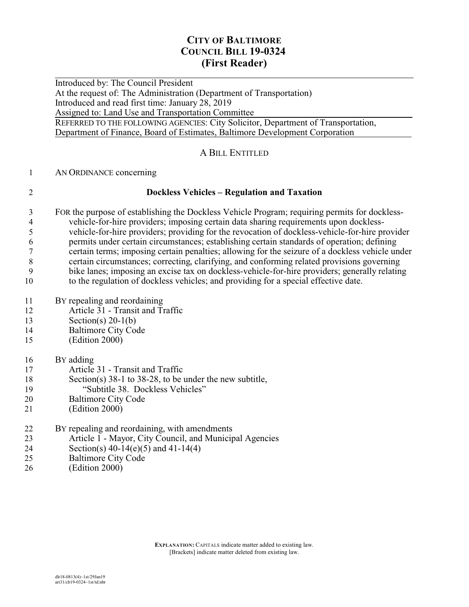## **CITY OF BALTIMORE COUNCIL BILL 19-0324 (First Reader)**

 $\overline{a}$ Introduced by: The Council President At the request of: The Administration (Department of Transportation) Introduced and read first time: January 28, 2019 Assigned to: Land Use and Transportation Committee REFERRED TO THE FOLLOWING AGENCIES: City Solicitor, Department of Transportation, Department of Finance, Board of Estimates, Baltimore Development Corporation

#### A BILL ENTITLED

#### AN ORDINANCE concerning

#### **Dockless Vehicles – Regulation and Taxation**

- FOR the purpose of establishing the Dockless Vehicle Program; requiring permits for dockless-4 vehicle-for-hire providers; imposing certain data sharing requirements upon dockless-<br>thicle-for-hire providers; providing for the revocation of dockless-vehicle-for-hire providers. vehicle-for-hire providers; providing for the revocation of dockless-vehicle-for-hire provider permits under certain circumstances; establishing certain standards of operation; defining certain terms; imposing certain penalties; allowing for the seizure of a dockless vehicle under certain circumstances; correcting, clarifying, and conforming related provisions governing bike lanes; imposing an excise tax on dockless-vehicle-for-hire providers; generally relating to the regulation of dockless vehicles; and providing for a special effective date.
- BY repealing and reordaining
- Article 31 Transit and Traffic
- Section(s) 20-1(b)
- Baltimore City Code
- (Edition 2000)

#### BY adding

- Article 31 Transit and Traffic
- Section(s) 38-1 to 38-28, to be under the new subtitle, "Subtitle 38. Dockless Vehicles"
- 
- Baltimore City Code
- (Edition 2000)

| 22       | By repealing and reordaining, with amendments           |
|----------|---------------------------------------------------------|
| 23       | Article 1 - Mayor, City Council, and Municipal Agencies |
| 24       | Section(s) $40-14(e)(5)$ and $41-14(4)$                 |
| 25       | <b>Baltimore City Code</b>                              |
| $\gamma$ | $(T\tilde{diffon 2000})$                                |

(Edition 2000)

**EXPLANATION:** CAPITALS indicate matter added to existing law. [Brackets] indicate matter deleted from existing law.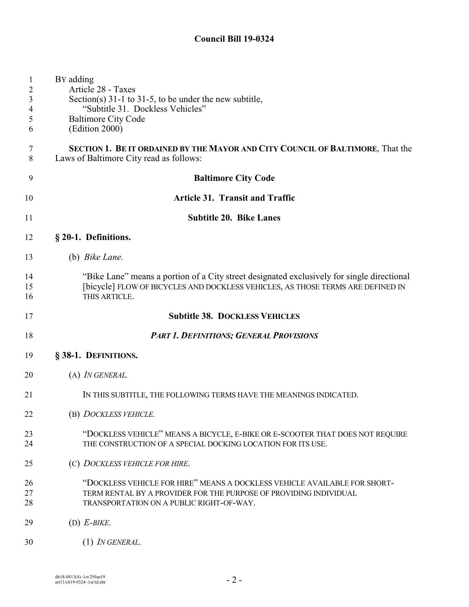| $\mathbf{1}$<br>$\overline{c}$<br>3<br>4<br>5<br>6 | BY adding<br>Article 28 - Taxes<br>Section(s) $31-1$ to $31-5$ , to be under the new subtitle,<br>"Subtitle 31. Dockless Vehicles"<br><b>Baltimore City Code</b><br>(Edition 2000)             |
|----------------------------------------------------|------------------------------------------------------------------------------------------------------------------------------------------------------------------------------------------------|
| 7<br>$\,8\,$                                       | SECTION 1. BE IT ORDAINED BY THE MAYOR AND CITY COUNCIL OF BALTIMORE, That the<br>Laws of Baltimore City read as follows:                                                                      |
| 9                                                  | <b>Baltimore City Code</b>                                                                                                                                                                     |
| 10                                                 | <b>Article 31. Transit and Traffic</b>                                                                                                                                                         |
| 11                                                 | <b>Subtitle 20. Bike Lanes</b>                                                                                                                                                                 |
| 12                                                 | § 20-1. Definitions.                                                                                                                                                                           |
| 13                                                 | (b) <i>Bike Lane</i> .                                                                                                                                                                         |
| 14<br>15<br>16                                     | "Bike Lane" means a portion of a City street designated exclusively for single directional<br>[bicycle] FLOW OF BICYCLES AND DOCKLESS VEHICLES, AS THOSE TERMS ARE DEFINED IN<br>THIS ARTICLE. |
| 17                                                 | <b>Subtitle 38. DOCKLESS VEHICLES</b>                                                                                                                                                          |
| 18                                                 | <b>PART 1. DEFINITIONS; GENERAL PROVISIONS</b>                                                                                                                                                 |
| 19                                                 | § 38-1. DEFINITIONS.                                                                                                                                                                           |
| 20                                                 | (A) <i>IN GENERAL</i> .                                                                                                                                                                        |
| 21                                                 | IN THIS SUBTITLE, THE FOLLOWING TERMS HAVE THE MEANINGS INDICATED.                                                                                                                             |
| 22                                                 | (B) DOCKLESS VEHICLE.                                                                                                                                                                          |
| 23<br>24                                           | "DOCKLESS VEHICLE" MEANS A BICYCLE, E-BIKE OR E-SCOOTER THAT DOES NOT REQUIRE<br>THE CONSTRUCTION OF A SPECIAL DOCKING LOCATION FOR ITS USE.                                                   |
| 25                                                 | (C) DOCKLESS VEHICLE FOR HIRE.                                                                                                                                                                 |
| 26<br>27<br>28                                     | "DOCKLESS VEHICLE FOR HIRE" MEANS A DOCKLESS VEHICLE AVAILABLE FOR SHORT-<br>TERM RENTAL BY A PROVIDER FOR THE PURPOSE OF PROVIDING INDIVIDUAL<br>TRANSPORTATION ON A PUBLIC RIGHT-OF-WAY.     |
| 29                                                 | $(D)$ E-BIKE.                                                                                                                                                                                  |
| 30                                                 | (1) IN GENERAL.                                                                                                                                                                                |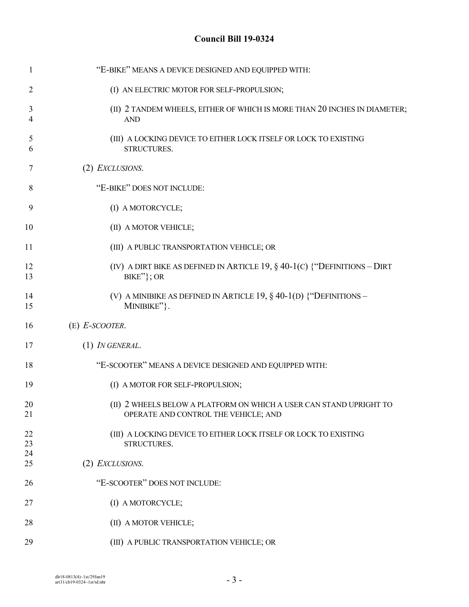| $\mathbf{1}$   | "E-BIKE" MEANS A DEVICE DESIGNED AND EQUIPPED WITH:                                                         |
|----------------|-------------------------------------------------------------------------------------------------------------|
| $\overline{2}$ | (I) AN ELECTRIC MOTOR FOR SELF-PROPULSION;                                                                  |
| 3<br>4         | (II) 2 TANDEM WHEELS, EITHER OF WHICH IS MORE THAN 20 INCHES IN DIAMETER;<br><b>AND</b>                     |
| 5<br>6         | (III) A LOCKING DEVICE TO EITHER LOCK ITSELF OR LOCK TO EXISTING<br>STRUCTURES.                             |
| 7              | (2) EXCLUSIONS.                                                                                             |
| 8              | "E-BIKE" DOES NOT INCLUDE:                                                                                  |
| 9              | (I) A MOTORCYCLE;                                                                                           |
| 10             | (II) A MOTOR VEHICLE;                                                                                       |
| 11             | (III) A PUBLIC TRANSPORTATION VEHICLE; OR                                                                   |
| 12<br>13       | (IV) A DIRT BIKE AS DEFINED IN ARTICLE 19, $\S$ 40-1(C) {"DEFINITIONS - DIRT<br>$BIKE''$ }; OR              |
| 14<br>15       | (V) A MINIBIKE AS DEFINED IN ARTICLE 19, $\S$ 40-1(D) {"DEFINITIONS –<br>MINIBIKE"}.                        |
| 16             | $(E)$ E-SCOOTER.                                                                                            |
| 17             | $(1)$ IN GENERAL.                                                                                           |
| 18             | "E-SCOOTER" MEANS A DEVICE DESIGNED AND EQUIPPED WITH:                                                      |
| 19             | (I) A MOTOR FOR SELF-PROPULSION;                                                                            |
| 20<br>21       | (II) 2 WHEELS BELOW A PLATFORM ON WHICH A USER CAN STAND UPRIGHT TO<br>OPERATE AND CONTROL THE VEHICLE; AND |
| 22<br>23       | (III) A LOCKING DEVICE TO EITHER LOCK ITSELF OR LOCK TO EXISTING<br>STRUCTURES.                             |
| 24<br>25       | (2) <i>EXCLUSIONS</i> .                                                                                     |
| 26             | "E-SCOOTER" DOES NOT INCLUDE:                                                                               |
| 27             | (I) A MOTORCYCLE;                                                                                           |
| 28             | (II) A MOTOR VEHICLE;                                                                                       |
| 29             | (III) A PUBLIC TRANSPORTATION VEHICLE; OR                                                                   |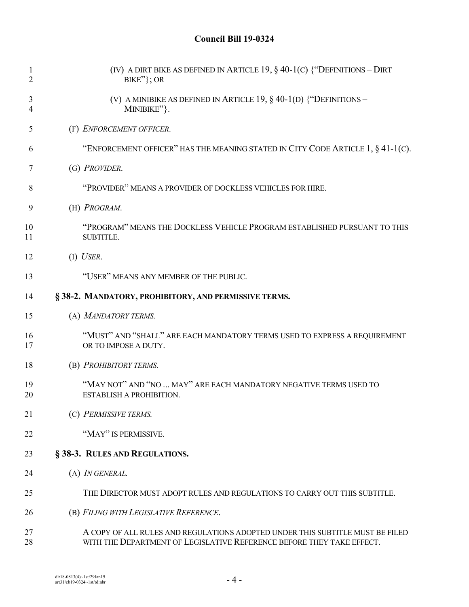| 1<br>$\overline{2}$ | (IV) A DIRT BIKE AS DEFINED IN ARTICLE 19, $\S$ 40-1(C) {"DEFINITIONS - DIRT<br>$BIKE''$ }; OR                                                         |
|---------------------|--------------------------------------------------------------------------------------------------------------------------------------------------------|
| 3<br>4              | (V) A MINIBIKE AS DEFINED IN ARTICLE 19, $\S$ 40-1(D) {"DEFINITIONS -<br>MINIBIKE"}.                                                                   |
| 5                   | (F) ENFORCEMENT OFFICER.                                                                                                                               |
| 6                   | "ENFORCEMENT OFFICER" HAS THE MEANING STATED IN CITY CODE ARTICLE 1, § 41-1(C).                                                                        |
| 7                   | (G) PROVIDER.                                                                                                                                          |
| 8                   | "PROVIDER" MEANS A PROVIDER OF DOCKLESS VEHICLES FOR HIRE.                                                                                             |
| 9                   | (H) PROGRAM.                                                                                                                                           |
| 10<br>11            | "PROGRAM" MEANS THE DOCKLESS VEHICLE PROGRAM ESTABLISHED PURSUANT TO THIS<br>SUBTITLE.                                                                 |
| 12                  | $(I)$ USER.                                                                                                                                            |
| 13                  | "USER" MEANS ANY MEMBER OF THE PUBLIC.                                                                                                                 |
| 14                  | §38-2. MANDATORY, PROHIBITORY, AND PERMISSIVE TERMS.                                                                                                   |
| 15                  | (A) MANDATORY TERMS.                                                                                                                                   |
| 16<br>17            | "MUST" AND "SHALL" ARE EACH MANDATORY TERMS USED TO EXPRESS A REQUIREMENT<br>OR TO IMPOSE A DUTY.                                                      |
| 18                  | (B) PROHIBITORY TERMS.                                                                                                                                 |
| 19<br>20            | "MAY NOT" AND "NO  MAY" ARE EACH MANDATORY NEGATIVE TERMS USED TO<br>ESTABLISH A PROHIBITION.                                                          |
| 21                  | (C) PERMISSIVE TERMS.                                                                                                                                  |
| 22                  | "MAY" IS PERMISSIVE.                                                                                                                                   |
| 23                  | § 38-3. RULES AND REGULATIONS.                                                                                                                         |
| 24                  | (A) IN GENERAL.                                                                                                                                        |
| 25                  | THE DIRECTOR MUST ADOPT RULES AND REGULATIONS TO CARRY OUT THIS SUBTITLE.                                                                              |
| 26                  | (B) FILING WITH LEGISLATIVE REFERENCE.                                                                                                                 |
| 27<br>28            | A COPY OF ALL RULES AND REGULATIONS ADOPTED UNDER THIS SUBTITLE MUST BE FILED<br>WITH THE DEPARTMENT OF LEGISLATIVE REFERENCE BEFORE THEY TAKE EFFECT. |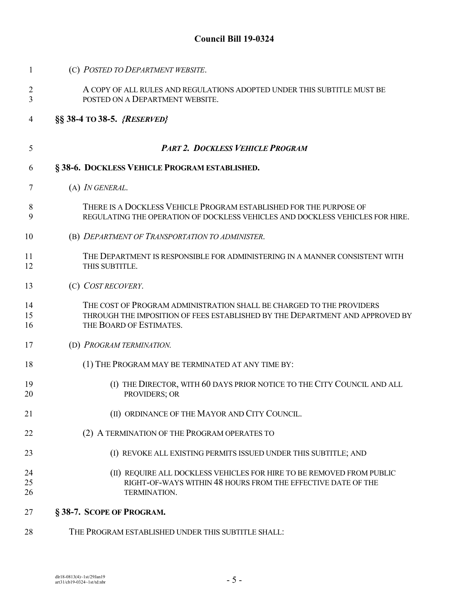| 1              | (C) POSTED TO DEPARTMENT WEBSITE.                                                                                                                                               |
|----------------|---------------------------------------------------------------------------------------------------------------------------------------------------------------------------------|
| 2<br>3         | A COPY OF ALL RULES AND REGULATIONS ADOPTED UNDER THIS SUBTITLE MUST BE<br>POSTED ON A DEPARTMENT WEBSITE.                                                                      |
| 4              | §§ 38-4 TO 38-5. {RESERVED}                                                                                                                                                     |
| 5              | <b>PART 2. DOCKLESS VEHICLE PROGRAM</b>                                                                                                                                         |
| 6              | §38-6. DOCKLESS VEHICLE PROGRAM ESTABLISHED.                                                                                                                                    |
| 7              | (A) <i>IN GENERAL</i> .                                                                                                                                                         |
| 8<br>9         | THERE IS A DOCKLESS VEHICLE PROGRAM ESTABLISHED FOR THE PURPOSE OF<br>REGULATING THE OPERATION OF DOCKLESS VEHICLES AND DOCKLESS VEHICLES FOR HIRE.                             |
| 10             | (B) DEPARTMENT OF TRANSPORTATION TO ADMINISTER.                                                                                                                                 |
| 11<br>12       | THE DEPARTMENT IS RESPONSIBLE FOR ADMINISTERING IN A MANNER CONSISTENT WITH<br>THIS SUBTITLE.                                                                                   |
| 13             | (C) COST RECOVERY.                                                                                                                                                              |
| 14<br>15<br>16 | THE COST OF PROGRAM ADMINISTRATION SHALL BE CHARGED TO THE PROVIDERS<br>THROUGH THE IMPOSITION OF FEES ESTABLISHED BY THE DEPARTMENT AND APPROVED BY<br>THE BOARD OF ESTIMATES. |
| 17             | (D) PROGRAM TERMINATION.                                                                                                                                                        |
| 18             | (1) THE PROGRAM MAY BE TERMINATED AT ANY TIME BY:                                                                                                                               |
| 19<br>20       | (I) THE DIRECTOR, WITH 60 DAYS PRIOR NOTICE TO THE CITY COUNCIL AND ALL<br>PROVIDERS; OR                                                                                        |
| 21             | (II) ORDINANCE OF THE MAYOR AND CITY COUNCIL.                                                                                                                                   |
| 22             | (2) A TERMINATION OF THE PROGRAM OPERATES TO                                                                                                                                    |
| 23             | (I) REVOKE ALL EXISTING PERMITS ISSUED UNDER THIS SUBTITLE; AND                                                                                                                 |
| 24<br>25<br>26 | (II) REQUIRE ALL DOCKLESS VEHICLES FOR HIRE TO BE REMOVED FROM PUBLIC<br>RIGHT-OF-WAYS WITHIN 48 HOURS FROM THE EFFECTIVE DATE OF THE<br>TERMINATION.                           |
| 27             | §38-7. SCOPE OF PROGRAM.                                                                                                                                                        |

THE PROGRAM ESTABLISHED UNDER THIS SUBTITLE SHALL: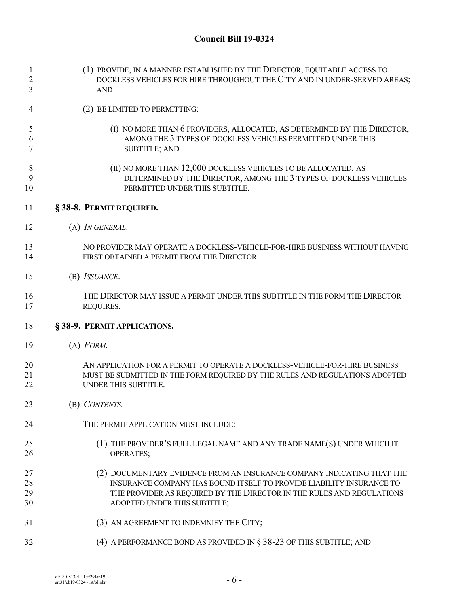| 1<br>$\overline{c}$<br>3 | (1) PROVIDE, IN A MANNER ESTABLISHED BY THE DIRECTOR, EQUITABLE ACCESS TO<br>DOCKLESS VEHICLES FOR HIRE THROUGHOUT THE CITY AND IN UNDER-SERVED AREAS;<br><b>AND</b>                                                                                    |
|--------------------------|---------------------------------------------------------------------------------------------------------------------------------------------------------------------------------------------------------------------------------------------------------|
| 4                        | (2) BE LIMITED TO PERMITTING:                                                                                                                                                                                                                           |
| 5<br>6<br>7              | (I) NO MORE THAN 6 PROVIDERS, ALLOCATED, AS DETERMINED BY THE DIRECTOR,<br>AMONG THE 3 TYPES OF DOCKLESS VEHICLES PERMITTED UNDER THIS<br><b>SUBTITLE; AND</b>                                                                                          |
| 8<br>9<br>10             | (II) NO MORE THAN 12,000 DOCKLESS VEHICLES TO BE ALLOCATED, AS<br>DETERMINED BY THE DIRECTOR, AMONG THE 3 TYPES OF DOCKLESS VEHICLES<br>PERMITTED UNDER THIS SUBTITLE.                                                                                  |
| 11                       | §38-8. PERMIT REQUIRED.                                                                                                                                                                                                                                 |
| 12                       | (A) <i>IN GENERAL</i> .                                                                                                                                                                                                                                 |
| 13<br>14                 | NO PROVIDER MAY OPERATE A DOCKLESS-VEHICLE-FOR-HIRE BUSINESS WITHOUT HAVING<br>FIRST OBTAINED A PERMIT FROM THE DIRECTOR.                                                                                                                               |
| 15                       | (B) ISSUANCE.                                                                                                                                                                                                                                           |
| 16<br>17                 | THE DIRECTOR MAY ISSUE A PERMIT UNDER THIS SUBTITLE IN THE FORM THE DIRECTOR<br>REQUIRES.                                                                                                                                                               |
| 18                       | §38-9. PERMIT APPLICATIONS.                                                                                                                                                                                                                             |
| 19                       | $(A)$ FORM.                                                                                                                                                                                                                                             |
| 20<br>21<br>22           | AN APPLICATION FOR A PERMIT TO OPERATE A DOCKLESS-VEHICLE-FOR-HIRE BUSINESS<br>MUST BE SUBMITTED IN THE FORM REQUIRED BY THE RULES AND REGULATIONS ADOPTED<br>UNDER THIS SUBTITLE.                                                                      |
| 23                       | (B) CONTENTS.                                                                                                                                                                                                                                           |
| 24                       | THE PERMIT APPLICATION MUST INCLUDE:                                                                                                                                                                                                                    |
| 25<br>26                 | (1) THE PROVIDER'S FULL LEGAL NAME AND ANY TRADE NAME(S) UNDER WHICH IT<br><b>OPERATES;</b>                                                                                                                                                             |
| 27<br>28<br>29<br>30     | (2) DOCUMENTARY EVIDENCE FROM AN INSURANCE COMPANY INDICATING THAT THE<br>INSURANCE COMPANY HAS BOUND ITSELF TO PROVIDE LIABILITY INSURANCE TO<br>THE PROVIDER AS REQUIRED BY THE DIRECTOR IN THE RULES AND REGULATIONS<br>ADOPTED UNDER THIS SUBTITLE; |
| 31                       | (3) AN AGREEMENT TO INDEMNIFY THE CITY;                                                                                                                                                                                                                 |
| 32                       | (4) A PERFORMANCE BOND AS PROVIDED IN $\S$ 38-23 OF THIS SUBTITLE; AND                                                                                                                                                                                  |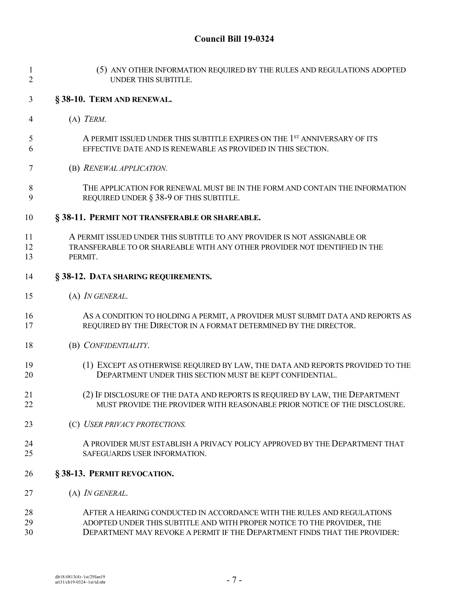| $\mathbf{1}$<br>$\overline{2}$ | (5) ANY OTHER INFORMATION REQUIRED BY THE RULES AND REGULATIONS ADOPTED<br>UNDER THIS SUBTITLE.                                                                                                                                |
|--------------------------------|--------------------------------------------------------------------------------------------------------------------------------------------------------------------------------------------------------------------------------|
| $\mathfrak{Z}$                 | §38-10. TERM AND RENEWAL.                                                                                                                                                                                                      |
| 4                              | $(A)$ TERM.                                                                                                                                                                                                                    |
| 5<br>6                         | A PERMIT ISSUED UNDER THIS SUBTITLE EXPIRES ON THE 1 <sup>st</sup> ANNIVERSARY OF ITS<br>EFFECTIVE DATE AND IS RENEWABLE AS PROVIDED IN THIS SECTION.                                                                          |
| 7                              | (B) RENEWAL APPLICATION.                                                                                                                                                                                                       |
| 8<br>9                         | THE APPLICATION FOR RENEWAL MUST BE IN THE FORM AND CONTAIN THE INFORMATION<br>REQUIRED UNDER § 38-9 OF THIS SUBTITLE.                                                                                                         |
| 10                             | § 38-11. PERMIT NOT TRANSFERABLE OR SHAREABLE.                                                                                                                                                                                 |
| 11<br>12<br>13                 | A PERMIT ISSUED UNDER THIS SUBTITLE TO ANY PROVIDER IS NOT ASSIGNABLE OR<br>TRANSFERABLE TO OR SHAREABLE WITH ANY OTHER PROVIDER NOT IDENTIFIED IN THE<br>PERMIT.                                                              |
| 14                             | § 38-12. DATA SHARING REQUIREMENTS.                                                                                                                                                                                            |
| 15                             | (A) IN GENERAL.                                                                                                                                                                                                                |
| 16<br>17                       | AS A CONDITION TO HOLDING A PERMIT, A PROVIDER MUST SUBMIT DATA AND REPORTS AS<br>REQUIRED BY THE DIRECTOR IN A FORMAT DETERMINED BY THE DIRECTOR.                                                                             |
| 18                             | (B) CONFIDENTIALITY.                                                                                                                                                                                                           |
| 19<br>20                       | (1) EXCEPT AS OTHERWISE REQUIRED BY LAW, THE DATA AND REPORTS PROVIDED TO THE<br>DEPARTMENT UNDER THIS SECTION MUST BE KEPT CONFIDENTIAL.                                                                                      |
| 21<br>22                       | (2) IF DISCLOSURE OF THE DATA AND REPORTS IS REQUIRED BY LAW, THE DEPARTMENT<br>MUST PROVIDE THE PROVIDER WITH REASONABLE PRIOR NOTICE OF THE DISCLOSURE.                                                                      |
| 23                             | (C) USER PRIVACY PROTECTIONS.                                                                                                                                                                                                  |
| 24<br>25                       | A PROVIDER MUST ESTABLISH A PRIVACY POLICY APPROVED BY THE DEPARTMENT THAT<br>SAFEGUARDS USER INFORMATION.                                                                                                                     |
| 26                             | §38-13. PERMIT REVOCATION.                                                                                                                                                                                                     |
| 27                             | (A) IN GENERAL.                                                                                                                                                                                                                |
| 28<br>29<br>30                 | AFTER A HEARING CONDUCTED IN ACCORDANCE WITH THE RULES AND REGULATIONS<br>ADOPTED UNDER THIS SUBTITLE AND WITH PROPER NOTICE TO THE PROVIDER, THE<br>DEPARTMENT MAY REVOKE A PERMIT IF THE DEPARTMENT FINDS THAT THE PROVIDER: |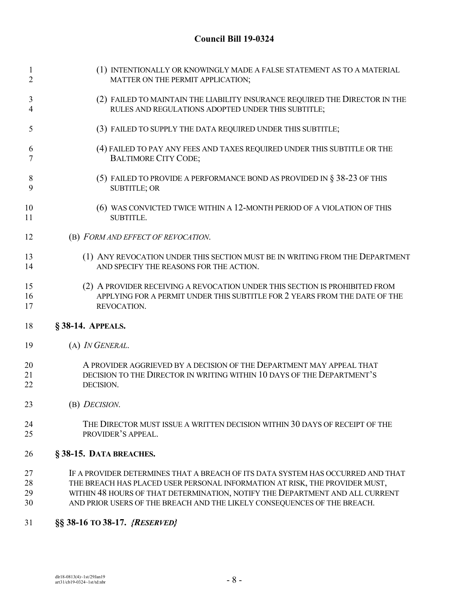| $\mathbf{1}$   | (1) INTENTIONALLY OR KNOWINGLY MADE A FALSE STATEMENT AS TO A MATERIAL          |
|----------------|---------------------------------------------------------------------------------|
| $\overline{2}$ | MATTER ON THE PERMIT APPLICATION;                                               |
| 3              | (2) FAILED TO MAINTAIN THE LIABILITY INSURANCE REQUIRED THE DIRECTOR IN THE     |
| 4              | RULES AND REGULATIONS ADOPTED UNDER THIS SUBTITLE;                              |
| 5              | (3) FAILED TO SUPPLY THE DATA REQUIRED UNDER THIS SUBTITLE;                     |
| 6              | (4) FAILED TO PAY ANY FEES AND TAXES REQUIRED UNDER THIS SUBTITLE OR THE        |
| 7              | <b>BALTIMORE CITY CODE;</b>                                                     |
| 8              | (5) FAILED TO PROVIDE A PERFORMANCE BOND AS PROVIDED IN $\S$ 38-23 OF THIS      |
| 9              | <b>SUBTITLE; OR</b>                                                             |
| 10             | (6) WAS CONVICTED TWICE WITHIN A 12-MONTH PERIOD OF A VIOLATION OF THIS         |
| 11             | <b>SUBTITLE.</b>                                                                |
| 12             | (B) FORM AND EFFECT OF REVOCATION.                                              |
| 13             | (1) ANY REVOCATION UNDER THIS SECTION MUST BE IN WRITING FROM THE DEPARTMENT    |
| 14             | AND SPECIFY THE REASONS FOR THE ACTION.                                         |
| 15             | (2) A PROVIDER RECEIVING A REVOCATION UNDER THIS SECTION IS PROHIBITED FROM     |
| 16             | APPLYING FOR A PERMIT UNDER THIS SUBTITLE FOR 2 YEARS FROM THE DATE OF THE      |
| 17             | REVOCATION.                                                                     |
| 18             | § 38-14. APPEALS.                                                               |
| 19             | (A) IN GENERAL.                                                                 |
| 20             | A PROVIDER AGGRIEVED BY A DECISION OF THE DEPARTMENT MAY APPEAL THAT            |
| 21             | DECISION TO THE DIRECTOR IN WRITING WITHIN 10 DAYS OF THE DEPARTMENT'S          |
| 22             | DECISION.                                                                       |
| 23             | (B) DECISION.                                                                   |
| 24             | THE DIRECTOR MUST ISSUE A WRITTEN DECISION WITHIN 30 DAYS OF RECEIPT OF THE     |
| 25             | PROVIDER'S APPEAL.                                                              |
| 26             | §38-15. DATA BREACHES.                                                          |
| 27             | IF A PROVIDER DETERMINES THAT A BREACH OF ITS DATA SYSTEM HAS OCCURRED AND THAT |

- 28 THE BREACH HAS PLACED USER PERSONAL INFORMATION AT RISK, THE PROVIDER MUST,<br>29 WITHIN 48 HOURS OF THAT DETERMINATION, NOTIFY THE DEPARTMENT AND ALL CURRE 29 WITHIN 48 HOURS OF THAT DETERMINATION, NOTIFY THE DEPARTMENT AND ALL CURRENT<br>30 AND PRIOR USERS OF THE BREACH AND THE LIKELY CONSEQUENCES OF THE BREACH. AND PRIOR USERS OF THE BREACH AND THE LIKELY CONSEQUENCES OF THE BREACH.
- **§§ 38-16 TO 38-17.** *{RESERVED}*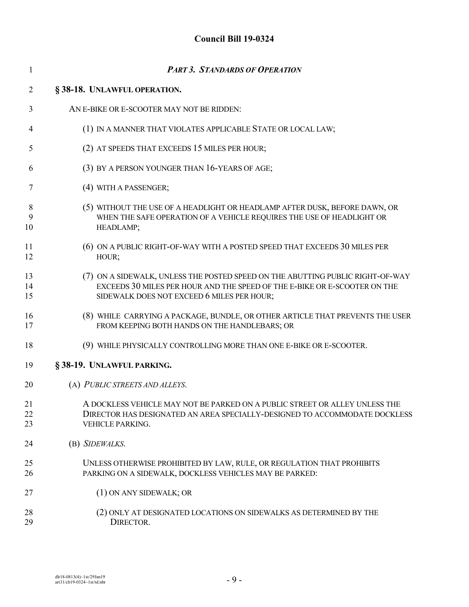| $\mathbf{1}$   | <b>PART 3. STANDARDS OF OPERATION</b>                                                                                                                                                                     |
|----------------|-----------------------------------------------------------------------------------------------------------------------------------------------------------------------------------------------------------|
| $\overline{2}$ | §38-18. UNLAWFUL OPERATION.                                                                                                                                                                               |
| 3              | AN E-BIKE OR E-SCOOTER MAY NOT BE RIDDEN:                                                                                                                                                                 |
| 4              | (1) IN A MANNER THAT VIOLATES APPLICABLE STATE OR LOCAL LAW;                                                                                                                                              |
| 5              | (2) AT SPEEDS THAT EXCEEDS 15 MILES PER HOUR;                                                                                                                                                             |
| 6              | (3) BY A PERSON YOUNGER THAN 16-YEARS OF AGE;                                                                                                                                                             |
| 7              | (4) WITH A PASSENGER;                                                                                                                                                                                     |
| 8<br>9<br>10   | (5) WITHOUT THE USE OF A HEADLIGHT OR HEADLAMP AFTER DUSK, BEFORE DAWN, OR<br>WHEN THE SAFE OPERATION OF A VEHICLE REQUIRES THE USE OF HEADLIGHT OR<br>HEADLAMP;                                          |
| 11<br>12       | (6) ON A PUBLIC RIGHT-OF-WAY WITH A POSTED SPEED THAT EXCEEDS 30 MILES PER<br>HOUR;                                                                                                                       |
| 13<br>14<br>15 | (7) ON A SIDEWALK, UNLESS THE POSTED SPEED ON THE ABUTTING PUBLIC RIGHT-OF-WAY<br>EXCEEDS 30 MILES PER HOUR AND THE SPEED OF THE E-BIKE OR E-SCOOTER ON THE<br>SIDEWALK DOES NOT EXCEED 6 MILES PER HOUR; |
| 16<br>17       | (8) WHILE CARRYING A PACKAGE, BUNDLE, OR OTHER ARTICLE THAT PREVENTS THE USER<br>FROM KEEPING BOTH HANDS ON THE HANDLEBARS; OR                                                                            |
| 18             | (9) WHILE PHYSICALLY CONTROLLING MORE THAN ONE E-BIKE OR E-SCOOTER.                                                                                                                                       |
| 19             | §38-19. UNLAWFUL PARKING.                                                                                                                                                                                 |
| 20             | (A) PUBLIC STREETS AND ALLEYS.                                                                                                                                                                            |
| 21<br>22<br>23 | A DOCKLESS VEHICLE MAY NOT BE PARKED ON A PUBLIC STREET OR ALLEY UNLESS THE<br>DIRECTOR HAS DESIGNATED AN AREA SPECIALLY-DESIGNED TO ACCOMMODATE DOCKLESS<br>VEHICLE PARKING.                             |
| 24             | (B) SIDEWALKS.                                                                                                                                                                                            |
| 25<br>26       | UNLESS OTHERWISE PROHIBITED BY LAW, RULE, OR REGULATION THAT PROHIBITS<br>PARKING ON A SIDEWALK, DOCKLESS VEHICLES MAY BE PARKED:                                                                         |
| 27             | (1) ON ANY SIDEWALK; OR                                                                                                                                                                                   |
| 28<br>29       | (2) ONLY AT DESIGNATED LOCATIONS ON SIDEWALKS AS DETERMINED BY THE<br>DIRECTOR.                                                                                                                           |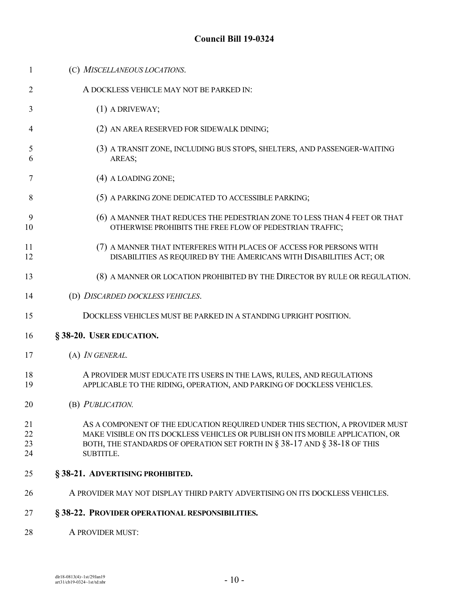(C) *MISCELLANEOUS LOCATIONS*. A DOCKLESS VEHICLE MAY NOT BE PARKED IN: (1) A DRIVEWAY; (2) AN AREA RESERVED FOR SIDEWALK DINING; (3) A TRANSIT ZONE, INCLUDING BUS STOPS, SHELTERS, AND PASSENGER-WAITING AREAS; (4) A LOADING ZONE; 8 (5) A PARKING ZONE DEDICATED TO ACCESSIBLE PARKING; 9 (6) A MANNER THAT REDUCES THE PEDESTRIAN ZONE TO LESS THAN 4 FEET OR THAT<br>10 OTHERWISE PROHIBITS THE FREE FLOW OF PEDESTRIAN TRAFFIC OTHERWISE PROHIBITS THE FREE FLOW OF PEDESTRIAN TRAFFIC; (7) A MANNER THAT INTERFERES WITH PLACES OF ACCESS FOR PERSONS WITH DISABILITIES AS REQUIRED BY THE AMERICANS WITH DISABILITIES ACT; OR 13 (8) A MANNER OR LOCATION PROHIBITED BY THE DIRECTOR BY RULE OR REGULATION. (D) *DISCARDED DOCKLESS VEHICLES*. DOCKLESS VEHICLES MUST BE PARKED IN A STANDING UPRIGHT POSITION. **§ 38-20. USER EDUCATION.** (A) *IN GENERAL.* A PROVIDER MUST EDUCATE ITS USERS IN THE LAWS, RULES, AND REGULATIONS APPLICABLE TO THE RIDING, OPERATION, AND PARKING OF DOCKLESS VEHICLES. (B) *PUBLICATION.* AS A COMPONENT OF THE EDUCATION REQUIRED UNDER THIS SECTION, A PROVIDER MUST MAKE VISIBLE ON ITS DOCKLESS VEHICLES OR PUBLISH ON ITS MOBILE APPLICATION, OR 23 BOTH, THE STANDARDS OF OPERATION SET FORTH IN § 38-17 AND § 38-18 OF THIS SUBTITLE. **§ 38-21. ADVERTISING PROHIBITED.** A PROVIDER MAY NOT DISPLAY THIRD PARTY ADVERTISING ON ITS DOCKLESS VEHICLES. **§ 38-22. PROVIDER OPERATIONAL RESPONSIBILITIES. A PROVIDER MUST:**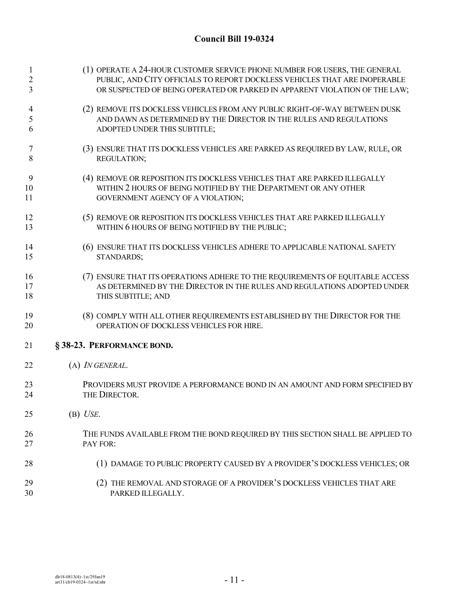| $\overline{c}$<br>3 | (1) OPERATE A 24-HOUR CUSTOMER SERVICE PHONE NUMBER FOR USERS, THE GENERAL<br>PUBLIC, AND CITY OFFICIALS TO REPORT DOCKLESS VEHICLES THAT ARE INOPERABLE<br>OR SUSPECTED OF BEING OPERATED OR PARKED IN APPARENT VIOLATION OF THE LAW; |
|---------------------|----------------------------------------------------------------------------------------------------------------------------------------------------------------------------------------------------------------------------------------|
| 4                   | (2) REMOVE ITS DOCKLESS VEHICLES FROM ANY PUBLIC RIGHT-OF-WAY BETWEEN DUSK                                                                                                                                                             |
| 5                   | AND DAWN AS DETERMINED BY THE DIRECTOR IN THE RULES AND REGULATIONS                                                                                                                                                                    |
| 6                   | ADOPTED UNDER THIS SUBTITLE;                                                                                                                                                                                                           |
| 7                   | (3) ENSURE THAT ITS DOCKLESS VEHICLES ARE PARKED AS REQUIRED BY LAW, RULE, OR                                                                                                                                                          |
| 8                   | REGULATION;                                                                                                                                                                                                                            |
| 9                   | (4) REMOVE OR REPOSITION ITS DOCKLESS VEHICLES THAT ARE PARKED ILLEGALLY                                                                                                                                                               |
| 10                  | WITHIN 2 HOURS OF BEING NOTIFIED BY THE DEPARTMENT OR ANY OTHER                                                                                                                                                                        |
| 11                  | GOVERNMENT AGENCY OF A VIOLATION;                                                                                                                                                                                                      |
| 12                  | (5) REMOVE OR REPOSITION ITS DOCKLESS VEHICLES THAT ARE PARKED ILLEGALLY                                                                                                                                                               |
| 13                  | WITHIN 6 HOURS OF BEING NOTIFIED BY THE PUBLIC;                                                                                                                                                                                        |
| 14                  | (6) ENSURE THAT ITS DOCKLESS VEHICLES ADHERE TO APPLICABLE NATIONAL SAFETY                                                                                                                                                             |
| 15                  | STANDARDS;                                                                                                                                                                                                                             |
| 16                  | (7) ENSURE THAT ITS OPERATIONS ADHERE TO THE REQUIREMENTS OF EQUITABLE ACCESS                                                                                                                                                          |
| 17                  | AS DETERMINED BY THE DIRECTOR IN THE RULES AND REGULATIONS ADOPTED UNDER                                                                                                                                                               |
| 18                  | THIS SUBTITLE; AND                                                                                                                                                                                                                     |
| 19                  | (8) COMPLY WITH ALL OTHER REQUIREMENTS ESTABLISHED BY THE DIRECTOR FOR THE                                                                                                                                                             |
| 20                  | OPERATION OF DOCKLESS VEHICLES FOR HIRE.                                                                                                                                                                                               |
| 21                  | §38-23. PERFORMANCE BOND.                                                                                                                                                                                                              |
| 22                  | (A) <i>IN GENERAL</i> .                                                                                                                                                                                                                |
| 23                  | PROVIDERS MUST PROVIDE A PERFORMANCE BOND IN AN AMOUNT AND FORM SPECIFIED BY                                                                                                                                                           |
| 24                  | THE DIRECTOR.                                                                                                                                                                                                                          |
| 25                  | $(B)$ <i>USE</i> .                                                                                                                                                                                                                     |
| 26                  | THE FUNDS AVAILABLE FROM THE BOND REQUIRED BY THIS SECTION SHALL BE APPLIED TO                                                                                                                                                         |
| 27                  | PAY FOR:                                                                                                                                                                                                                               |
| 28                  | (1) DAMAGE TO PUBLIC PROPERTY CAUSED BY A PROVIDER'S DOCKLESS VEHICLES; OR                                                                                                                                                             |
| 29                  | (2) THE REMOVAL AND STORAGE OF A PROVIDER'S DOCKLESS VEHICLES THAT ARE                                                                                                                                                                 |
| 30                  | PARKED ILLEGALLY.                                                                                                                                                                                                                      |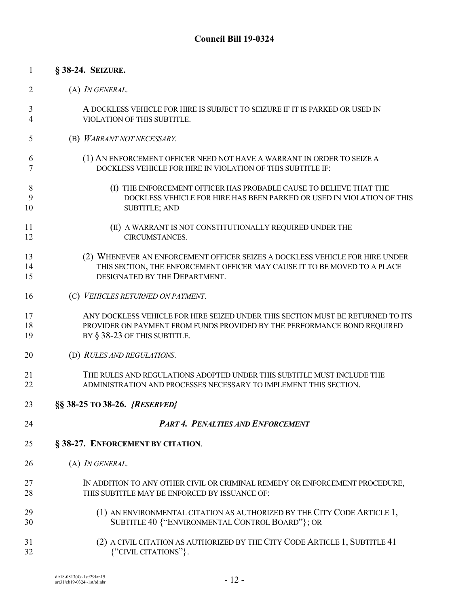| 2  | (A) <i>IN GENERAL</i> .                                                         |
|----|---------------------------------------------------------------------------------|
| 3  | A DOCKLESS VEHICLE FOR HIRE IS SUBJECT TO SEIZURE IF IT IS PARKED OR USED IN    |
| 4  | VIOLATION OF THIS SUBTITLE.                                                     |
| 5  | (B) WARRANT NOT NECESSARY.                                                      |
| 6  | (1) AN ENFORCEMENT OFFICER NEED NOT HAVE A WARRANT IN ORDER TO SEIZE A          |
| 7  | DOCKLESS VEHICLE FOR HIRE IN VIOLATION OF THIS SUBTITLE IF:                     |
| 8  | (I) THE ENFORCEMENT OFFICER HAS PROBABLE CAUSE TO BELIEVE THAT THE              |
| 9  | DOCKLESS VEHICLE FOR HIRE HAS BEEN PARKED OR USED IN VIOLATION OF THIS          |
| 10 | <b>SUBTITLE; AND</b>                                                            |
| 11 | (II) A WARRANT IS NOT CONSTITUTIONALLY REQUIRED UNDER THE                       |
| 12 | CIRCUMSTANCES.                                                                  |
| 13 | (2) WHENEVER AN ENFORCEMENT OFFICER SEIZES A DOCKLESS VEHICLE FOR HIRE UNDER    |
| 14 | THIS SECTION, THE ENFORCEMENT OFFICER MAY CAUSE IT TO BE MOVED TO A PLACE       |
| 15 | DESIGNATED BY THE DEPARTMENT.                                                   |
| 16 | (C) VEHICLES RETURNED ON PAYMENT.                                               |
| 17 | ANY DOCKLESS VEHICLE FOR HIRE SEIZED UNDER THIS SECTION MUST BE RETURNED TO ITS |
| 18 | PROVIDER ON PAYMENT FROM FUNDS PROVIDED BY THE PERFORMANCE BOND REQUIRED        |
| 19 | BY § 38-23 OF THIS SUBTITLE.                                                    |
| 20 | (D) RULES AND REGULATIONS.                                                      |
| 21 | THE RULES AND REGULATIONS ADOPTED UNDER THIS SUBTITLE MUST INCLUDE THE          |
| 22 | ADMINISTRATION AND PROCESSES NECESSARY TO IMPLEMENT THIS SECTION.               |
| 23 | §§ 38-25 TO 38-26. {RESERVED}                                                   |
| 24 | <b>PART 4. PENALTIES AND ENFORCEMENT</b>                                        |
| 25 | § 38-27. ENFORCEMENT BY CITATION.                                               |
| 26 | (A) IN GENERAL.                                                                 |
| 27 | IN ADDITION TO ANY OTHER CIVIL OR CRIMINAL REMEDY OR ENFORCEMENT PROCEDURE,     |
| 28 | THIS SUBTITLE MAY BE ENFORCED BY ISSUANCE OF:                                   |
| 29 | (1) AN ENVIRONMENTAL CITATION AS AUTHORIZED BY THE CITY CODE ARTICLE 1,         |
| 30 | SUBTITLE 40 {"ENVIRONMENTAL CONTROL BOARD"}; OR                                 |
| 31 | (2) A CIVIL CITATION AS AUTHORIZED BY THE CITY CODE ARTICLE 1, SUBTITLE 41      |
| 32 | {"CIVIL CITATIONS"}.                                                            |

**§ 38-24. SEIZURE.**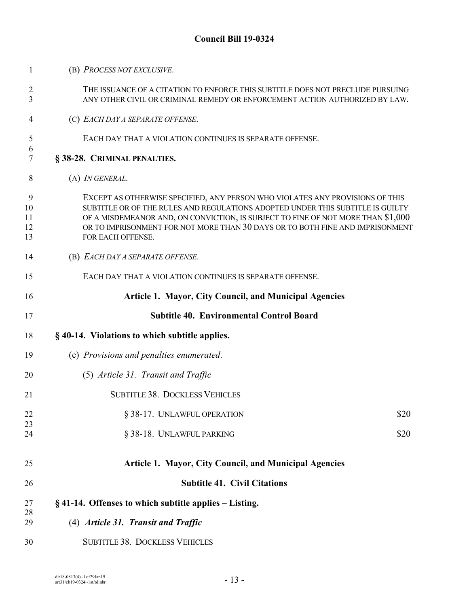| $\overline{2}$<br>3       | THE ISSUANCE OF A CITATION TO ENFORCE THIS SUBTITLE DOES NOT PRECLUDE PURSUING<br>ANY OTHER CIVIL OR CRIMINAL REMEDY OR ENFORCEMENT ACTION AUTHORIZED BY LAW.                                                                                                                                                                                             |
|---------------------------|-----------------------------------------------------------------------------------------------------------------------------------------------------------------------------------------------------------------------------------------------------------------------------------------------------------------------------------------------------------|
| 4                         | (C) EACH DAY A SEPARATE OFFENSE.                                                                                                                                                                                                                                                                                                                          |
| 5                         | EACH DAY THAT A VIOLATION CONTINUES IS SEPARATE OFFENSE.                                                                                                                                                                                                                                                                                                  |
| 6<br>7                    | § 38-28. CRIMINAL PENALTIES.                                                                                                                                                                                                                                                                                                                              |
| 8                         | $(A)$ <i>IN GENERAL</i> .                                                                                                                                                                                                                                                                                                                                 |
| 9<br>10<br>11<br>12<br>13 | EXCEPT AS OTHERWISE SPECIFIED, ANY PERSON WHO VIOLATES ANY PROVISIONS OF THIS<br>SUBTITLE OR OF THE RULES AND REGULATIONS ADOPTED UNDER THIS SUBTITLE IS GUILTY<br>OF A MISDEMEANOR AND, ON CONVICTION, IS SUBJECT TO FINE OF NOT MORE THAN \$1,000<br>OR TO IMPRISONMENT FOR NOT MORE THAN 30 DAYS OR TO BOTH FINE AND IMPRISONMENT<br>FOR EACH OFFENSE. |
| 14                        | (B) EACH DAY A SEPARATE OFFENSE.                                                                                                                                                                                                                                                                                                                          |
| 15                        | EACH DAY THAT A VIOLATION CONTINUES IS SEPARATE OFFENSE.                                                                                                                                                                                                                                                                                                  |
| 16                        | <b>Article 1. Mayor, City Council, and Municipal Agencies</b>                                                                                                                                                                                                                                                                                             |
| 17                        | <b>Subtitle 40. Environmental Control Board</b>                                                                                                                                                                                                                                                                                                           |
| 18                        | § 40-14. Violations to which subtitle applies.                                                                                                                                                                                                                                                                                                            |
| 19                        | (e) Provisions and penalties enumerated.                                                                                                                                                                                                                                                                                                                  |
| 20                        | (5) Article 31. Transit and Traffic                                                                                                                                                                                                                                                                                                                       |
| 21                        | <b>SUBTITLE 38. DOCKLESS VEHICLES</b>                                                                                                                                                                                                                                                                                                                     |
| 22                        | \$20<br>§ 38-17. UNLAWFUL OPERATION                                                                                                                                                                                                                                                                                                                       |
| 23<br>24                  | § 38-18. UNLAWFUL PARKING<br>\$20                                                                                                                                                                                                                                                                                                                         |
| 25                        | Article 1. Mayor, City Council, and Municipal Agencies                                                                                                                                                                                                                                                                                                    |
| 26                        | <b>Subtitle 41. Civil Citations</b>                                                                                                                                                                                                                                                                                                                       |
| 27                        | §41-14. Offenses to which subtitle applies - Listing.                                                                                                                                                                                                                                                                                                     |
| 28<br>29                  | (4) Article 31. Transit and Traffic                                                                                                                                                                                                                                                                                                                       |
| 30                        | <b>SUBTITLE 38. DOCKLESS VEHICLES</b>                                                                                                                                                                                                                                                                                                                     |

(B) *PROCESS NOT EXCLUSIVE*.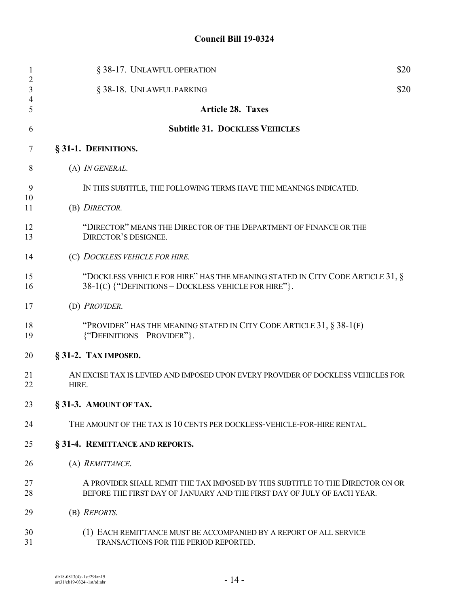| $\mathbf{1}$<br>$\overline{2}$ | § 38-17. UNLAWFUL OPERATION                                                                                                                              | \$20 |
|--------------------------------|----------------------------------------------------------------------------------------------------------------------------------------------------------|------|
| 3                              | § 38-18. UNLAWFUL PARKING                                                                                                                                | \$20 |
| 4<br>5                         | <b>Article 28. Taxes</b>                                                                                                                                 |      |
| 6                              | <b>Subtitle 31. DOCKLESS VEHICLES</b>                                                                                                                    |      |
| 7                              | § 31-1. DEFINITIONS.                                                                                                                                     |      |
| 8                              | (A) <i>IN GENERAL</i> .                                                                                                                                  |      |
| 9                              | IN THIS SUBTITLE, THE FOLLOWING TERMS HAVE THE MEANINGS INDICATED.                                                                                       |      |
| 10<br>11                       | (B) DIRECTOR.                                                                                                                                            |      |
| 12<br>13                       | "DIRECTOR" MEANS THE DIRECTOR OF THE DEPARTMENT OF FINANCE OR THE<br>DIRECTOR'S DESIGNEE.                                                                |      |
| 14                             | (C) DOCKLESS VEHICLE FOR HIRE.                                                                                                                           |      |
| 15<br>16                       | "DOCKLESS VEHICLE FOR HIRE" HAS THE MEANING STATED IN CITY CODE ARTICLE 31, §<br>38-1(C) {"DEFINITIONS - DOCKLESS VEHICLE FOR HIRE"}.                    |      |
| 17                             | (D) PROVIDER.                                                                                                                                            |      |
| 18<br>19                       | "PROVIDER" HAS THE MEANING STATED IN CITY CODE ARTICLE 31, §38-1(F)<br>{"DEFINITIONS - PROVIDER"}.                                                       |      |
| 20                             | § 31-2. TAX IMPOSED.                                                                                                                                     |      |
| 21<br>22                       | AN EXCISE TAX IS LEVIED AND IMPOSED UPON EVERY PROVIDER OF DOCKLESS VEHICLES FOR<br>HIRE.                                                                |      |
| 23                             | § 31-3. AMOUNT OF TAX.                                                                                                                                   |      |
| 24                             | THE AMOUNT OF THE TAX IS 10 CENTS PER DOCKLESS-VEHICLE-FOR-HIRE RENTAL.                                                                                  |      |
| 25                             | § 31-4. REMITTANCE AND REPORTS.                                                                                                                          |      |
| 26                             | (A) REMITTANCE.                                                                                                                                          |      |
| 27<br>28                       | A PROVIDER SHALL REMIT THE TAX IMPOSED BY THIS SUBTITLE TO THE DIRECTOR ON OR<br>BEFORE THE FIRST DAY OF JANUARY AND THE FIRST DAY OF JULY OF EACH YEAR. |      |
| 29                             | (B) REPORTS.                                                                                                                                             |      |
| 30<br>31                       | (1) EACH REMITTANCE MUST BE ACCOMPANIED BY A REPORT OF ALL SERVICE<br>TRANSACTIONS FOR THE PERIOD REPORTED.                                              |      |